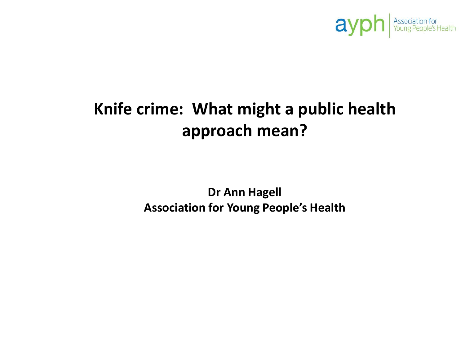

# **Knife crime: What might a public health approach mean?**

**Dr Ann Hagell Association for Young People's Health**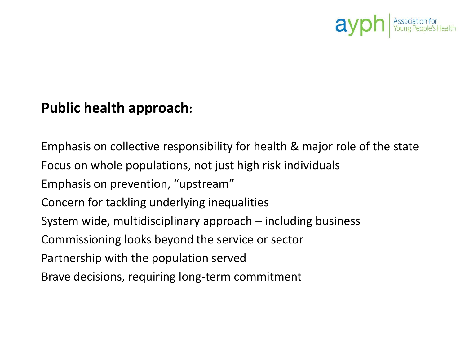

## **Public health approach:**

Emphasis on collective responsibility for health & major role of the state Focus on whole populations, not just high risk individuals Emphasis on prevention, "upstream" Concern for tackling underlying inequalities System wide, multidisciplinary approach – including business Commissioning looks beyond the service or sector Partnership with the population served Brave decisions, requiring long-term commitment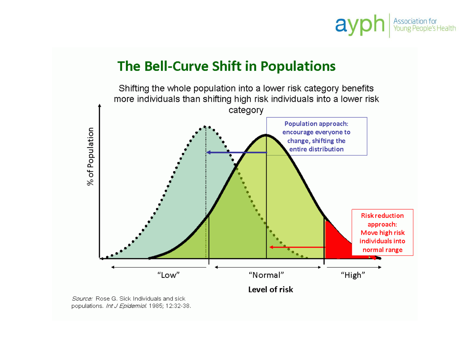### Association for<br>Young People's Health ay

## The Bell-Curve Shift in Populations

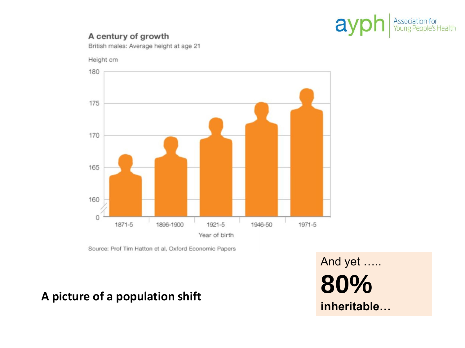

#### A century of growth

British males: Average height at age 21

Height cm



Source: Prof Tim Hatton et al, Oxford Economic Papers

## A picture of a population shift

And yet ..... 80% inheritable...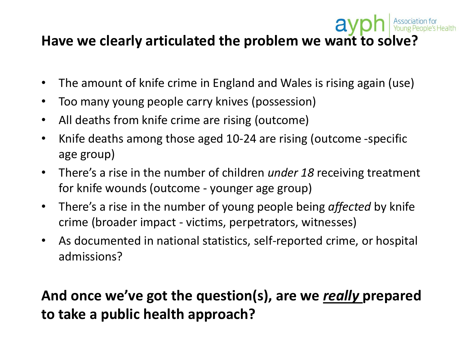## av **Have we clearly articulated the problem we want to solve?**

- The amount of knife crime in England and Wales is rising again (use)
- Too many young people carry knives (possession)
- All deaths from knife crime are rising (outcome)
- Knife deaths among those aged 10-24 are rising (outcome -specific age group)
- There's a rise in the number of children *under 18* receiving treatment for knife wounds (outcome - younger age group)
- There's a rise in the number of young people being *affected* by knife crime (broader impact - victims, perpetrators, witnesses)
- As documented in national statistics, self-reported crime, or hospital admissions?

# **And once we've got the question(s), are we** *really* **prepared to take a public health approach?**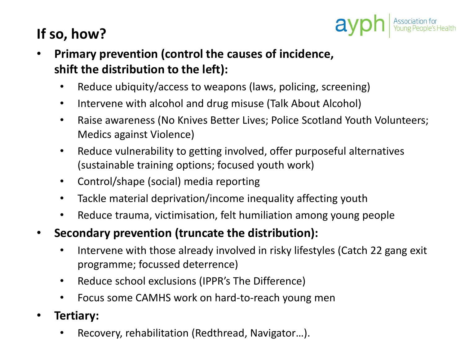# **If so, how?**

- **Primary prevention (control the causes of incidence, shift the distribution to the left):** 
	- Reduce ubiquity/access to weapons (laws, policing, screening)
	- Intervene with alcohol and drug misuse (Talk About Alcohol)
	- Raise awareness (No Knives Better Lives; Police Scotland Youth Volunteers; Medics against Violence)

 $a$ 

- Reduce vulnerability to getting involved, offer purposeful alternatives (sustainable training options; focused youth work)
- Control/shape (social) media reporting
- Tackle material deprivation/income inequality affecting youth
- Reduce trauma, victimisation, felt humiliation among young people
- **Secondary prevention (truncate the distribution):** 
	- Intervene with those already involved in risky lifestyles (Catch 22 gang exit programme; focussed deterrence)
	- Reduce school exclusions (IPPR's The Difference)
	- Focus some CAMHS work on hard-to-reach young men
- **Tertiary:** 
	- Recovery, rehabilitation (Redthread, Navigator…).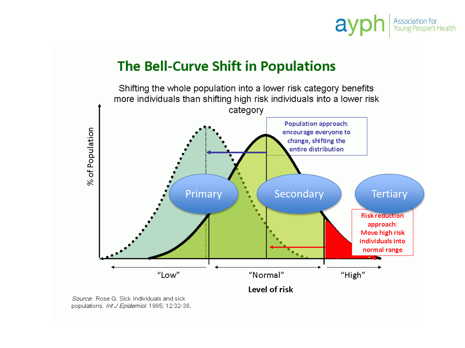### Association for<br>Young People's Health ay

## The Bell-Curve Shift in Populations



populations. Int J Epidemiol. 1985; 12:32-38.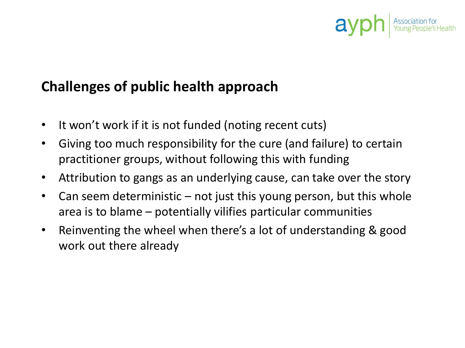# ay

# **Challenges of public health approach**

- It won't work if it is not funded (noting recent cuts)
- Giving too much responsibility for the cure (and failure) to certain practitioner groups, without following this with funding
- Attribution to gangs as an underlying cause, can take over the story
- Can seem deterministic not just this young person, but this whole area is to blame – potentially vilifies particular communities
- Reinventing the wheel when there's a lot of understanding & good work out there already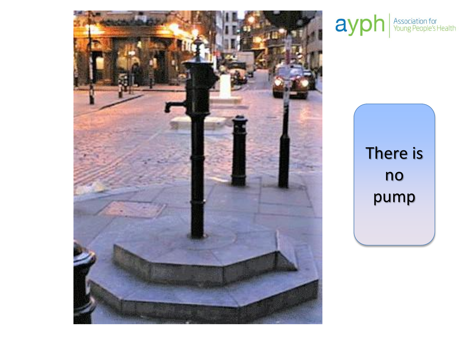

# ayph Association for

There is no pump